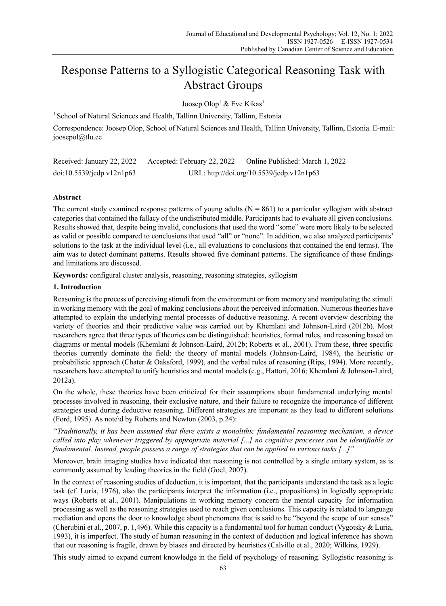# Response Patterns to a Syllogistic Categorical Reasoning Task with Abstract Groups

Joosep Olop $^1$  & Eve Kikas $^1$ 

<sup>1</sup> School of Natural Sciences and Health, Tallinn University, Tallinn, Estonia

Correspondence: Joosep Olop, School of Natural Sciences and Health, Tallinn University, Tallinn, Estonia. E-mail: joosepol@tlu.ee

| Received: January 22, 2022 | Accepted: February 22, 2022 | Online Published: March 1, 2022           |
|----------------------------|-----------------------------|-------------------------------------------|
| doi:10.5539/jedp.v12n1p63  |                             | URL: http://doi.org/10.5539/jedp.v12n1p63 |

# **Abstract**

The current study examined response patterns of young adults  $(N = 861)$  to a particular syllogism with abstract categories that contained the fallacy of the undistributed middle. Participants had to evaluate all given conclusions. Results showed that, despite being invalid, conclusions that used the word "some" were more likely to be selected as valid or possible compared to conclusions that used "all" or "none". In addition, we also analyzed participants' solutions to the task at the individual level (i.e., all evaluations to conclusions that contained the end terms). The aim was to detect dominant patterns. Results showed five dominant patterns. The significance of these findings and limitations are discussed.

**Keywords:** configural cluster analysis, reasoning, reasoning strategies, syllogism

## **1. Introduction**

Reasoning is the process of perceiving stimuli from the environment or from memory and manipulating the stimuli in working memory with the goal of making conclusions about the perceived information. Numerous theories have attempted to explain the underlying mental processes of deductive reasoning. A recent overview describing the variety of theories and their predictive value was carried out by Khemlani and Johnson-Laird (2012b). Most researchers agree that three types of theories can be distinguished: heuristics, formal rules, and reasoning based on diagrams or mental models (Khemlani & Johnson-Laird, 2012b; Roberts et al., 2001). From these, three specific theories currently dominate the field: the theory of mental models (Johnson-Laird, 1984), the heuristic or probabilistic approach (Chater & Oaksford, 1999), and the verbal rules of reasoning (Rips, 1994). More recently, researchers have attempted to unify heuristics and mental models (e.g., Hattori, 2016; Khemlani & Johnson-Laird, 2012a).

On the whole, these theories have been criticized for their assumptions about fundamental underlying mental processes involved in reasoning, their exclusive nature, and their failure to recognize the importance of different strategies used during deductive reasoning. Different strategies are important as they lead to different solutions (Ford, 1995). As note\d by Roberts and Newton (2003, p.24):

*"Traditionally, it has been assumed that there exists a monolithic fundamental reasoning mechanism, a device called into play whenever triggered by appropriate material [...] no cognitive processes can be identifiable as fundamental. Instead, people possess a range of strategies that can be applied to various tasks [...]"* 

Moreover, brain imaging studies have indicated that reasoning is not controlled by a single unitary system, as is commonly assumed by leading theories in the field (Goel, 2007).

In the context of reasoning studies of deduction, it is important, that the participants understand the task as a logic task (cf. Luria, 1976), also the participants interpret the information (i.e., propositions) in logically appropriate ways (Roberts et al., 2001). Manipulations in working memory concern the mental capacity for information processing as well as the reasoning strategies used to reach given conclusions. This capacity is related to language mediation and opens the door to knowledge about phenomena that is said to be "beyond the scope of our senses" (Cherubini et al., 2007, p. 1,496). While this capacity is a fundamental tool for human conduct (Vygotsky & Luria, 1993), it is imperfect. The study of human reasoning in the context of deduction and logical inference has shown that our reasoning is fragile, drawn by biases and directed by heuristics (Calvillo et al., 2020; Wilkins, 1929).

This study aimed to expand current knowledge in the field of psychology of reasoning. Syllogistic reasoning is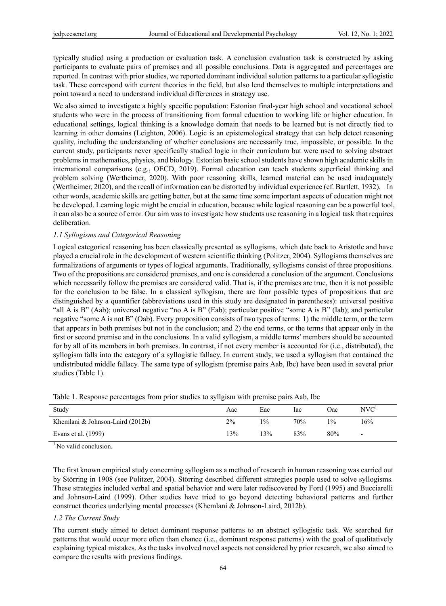typically studied using a production or evaluation task. A conclusion evaluation task is constructed by asking participants to evaluate pairs of premises and all possible conclusions. Data is aggregated and percentages are reported. In contrast with prior studies, we reported dominant individual solution patterns to a particular syllogistic task. These correspond with current theories in the field, but also lend themselves to multiple interpretations and point toward a need to understand individual differences in strategy use.

We also aimed to investigate a highly specific population: Estonian final-year high school and vocational school students who were in the process of transitioning from formal education to working life or higher education. In educational settings, logical thinking is a knowledge domain that needs to be learned but is not directly tied to learning in other domains (Leighton, 2006). Logic is an epistemological strategy that can help detect reasoning quality, including the understanding of whether conclusions are necessarily true, impossible, or possible. In the current study, participants never specifically studied logic in their curriculum but were used to solving abstract problems in mathematics, physics, and biology. Estonian basic school students have shown high academic skills in international comparisons (e.g., OECD, 2019). Formal education can teach students superficial thinking and problem solving (Wertheimer, 2020). With poor reasoning skills, learned material can be used inadequately (Wertheimer, 2020), and the recall of information can be distorted by individual experience (cf. Bartlett, 1932). In other words, academic skills are getting better, but at the same time some important aspects of education might not be developed. Learning logic might be crucial in education, because while logical reasoning can be a powerful tool, it can also be a source of error. Our aim was to investigate how students use reasoning in a logical task that requires deliberation.

## *1.1 Syllogisms and Categorical Reasoning*

Logical categorical reasoning has been classically presented as syllogisms, which date back to Aristotle and have played a crucial role in the development of western scientific thinking (Politzer, 2004). Syllogisms themselves are formalizations of arguments or types of logical arguments. Traditionally, syllogisms consist of three propositions. Two of the propositions are considered premises, and one is considered a conclusion of the argument. Conclusions which necessarily follow the premises are considered valid. That is, if the premises are true, then it is not possible for the conclusion to be false. In a classical syllogism, there are four possible types of propositions that are distinguished by a quantifier (abbreviations used in this study are designated in parentheses): universal positive "all A is B" (Aab); universal negative "no A is B" (Eab); particular positive "some A is B" (Iab); and particular negative "some A is not B" (Oab). Every proposition consists of two types of terms: 1) the middle term, or the term that appears in both premises but not in the conclusion; and 2) the end terms, or the terms that appear only in the first or second premise and in the conclusions. In a valid syllogism, a middle terms' members should be accounted for by all of its members in both premises. In contrast, if not every member is accounted for (i.e., distributed), the syllogism falls into the category of a syllogistic fallacy. In current study, we used a syllogism that contained the undistributed middle fallacy. The same type of syllogism (premise pairs Aab, Ibc) have been used in several prior studies (Table 1).

| Study                            | Aac | Eac   | lac | Oac. | NVC <sup>1</sup>         |
|----------------------------------|-----|-------|-----|------|--------------------------|
| Khemlani & Johnson-Laird (2012b) | 2%  | $1\%$ | 70% | 19/0 | 16%                      |
| Evans et al. (1999)              | 13% | 13%   | 83% | 80%  | $\overline{\phantom{0}}$ |

Table 1. Response percentages from prior studies to syllgism with premise pairs Aab, Ibc

 $\overline{1}$  No valid conclusion.

The first known empirical study concerning syllogism as a method of research in human reasoning was carried out by Störring in 1908 (see Politzer, 2004). Störring described different strategies people used to solve syllogisms. These strategies included verbal and spatial behavior and were later rediscovered by Ford (1995) and Bucciarelli and Johnson-Laird (1999). Other studies have tried to go beyond detecting behavioral patterns and further construct theories underlying mental processes (Khemlani & Johnson-Laird, 2012b).

#### *1.2 The Current Study*

The current study aimed to detect dominant response patterns to an abstract syllogistic task. We searched for patterns that would occur more often than chance (i.e., dominant response patterns) with the goal of qualitatively explaining typical mistakes. As the tasks involved novel aspects not considered by prior research, we also aimed to compare the results with previous findings.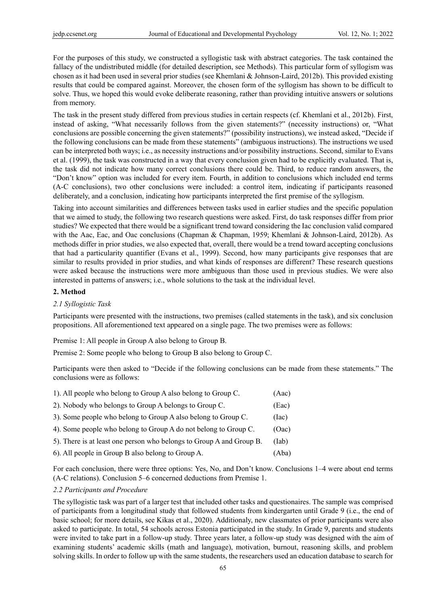For the purposes of this study, we constructed a syllogistic task with abstract categories. The task contained the fallacy of the undistributed middle (for detailed description, see Methods). This particular form of syllogism was chosen as it had been used in several prior studies (see Khemlani & Johnson-Laird, 2012b). This provided existing results that could be compared against. Moreover, the chosen form of the syllogism has shown to be difficult to solve. Thus, we hoped this would evoke deliberate reasoning, rather than providing intuitive answers or solutions from memory.

The task in the present study differed from previous studies in certain respects (cf. Khemlani et al., 2012b). First, instead of asking, "What necessarily follows from the given statements?" (necessity instructions) or, "What conclusions are possible concerning the given statements?" (possibility instructions), we instead asked, "Decide if the following conclusions can be made from these statements" (ambiguous instructions). The instructions we used can be interpreted both ways; i.e., as necessity instructions and/or possibility instructions. Second, similar to Evans et al. (1999), the task was constructed in a way that every conclusion given had to be explicitly evaluated. That is, the task did not indicate how many correct conclusions there could be. Third, to reduce random answers, the "Don't know" option was included for every item. Fourth, in addition to conclusions which included end terms (A-C conclusions), two other conclusions were included: a control item, indicating if participants reasoned deliberately, and a conclusion, indicating how participants interpreted the first premise of the syllogism.

Taking into account similarities and differences between tasks used in earlier studies and the specific population that we aimed to study, the following two research questions were asked. First, do task responses differ from prior studies? We expected that there would be a significant trend toward considering the Iac conclusion valid compared with the Aac, Eac, and Oac conclusions (Chapman & Chapman, 1959; Khemlani & Johnson-Laird, 2012b). As methods differ in prior studies, we also expected that, overall, there would be a trend toward accepting conclusions that had a particularity quantifier (Evans et al., 1999). Second, how many participants give responses that are similar to results provided in prior studies, and what kinds of responses are different? These research questions were asked because the instructions were more ambiguous than those used in previous studies. We were also interested in patterns of answers; i.e., whole solutions to the task at the individual level.

## **2. Method**

#### *2.1 Syllogistic Task*

Participants were presented with the instructions, two premises (called statements in the task), and six conclusion propositions. All aforementioned text appeared on a single page. The two premises were as follows:

Premise 1: All people in Group A also belong to Group B.

Premise 2: Some people who belong to Group B also belong to Group C.

Participants were then asked to "Decide if the following conclusions can be made from these statements." The conclusions were as follows:

| 1). All people who belong to Group A also belong to Group C.         | (Aac) |
|----------------------------------------------------------------------|-------|
| 2). Nobody who belongs to Group A belongs to Group C.                | (Eac) |
| 3). Some people who belong to Group A also belong to Group C.        | (Iac) |
| 4). Some people who belong to Group A do not belong to Group C.      | (Oac) |
| 5). There is at least one person who belongs to Group A and Group B. | (Iab) |
| 6). All people in Group B also belong to Group A.                    | (Aba) |

For each conclusion, there were three options: Yes, No, and Don't know. Conclusions 1–4 were about end terms (A-C relations). Conclusion 5–6 concerned deductions from Premise 1.

#### *2.2 Participants and Procedure*

The syllogistic task was part of a larger test that included other tasks and questionaires. The sample was comprised of participants from a longitudinal study that followed students from kindergarten until Grade 9 (i.e., the end of basic school; for more details, see Kikas et al., 2020). Additionaly, new classmates of prior participants were also asked to participate. In total, 54 schools across Estonia participated in the study. In Grade 9, parents and students were invited to take part in a follow-up study. Three years later, a follow-up study was designed with the aim of examining students' academic skills (math and language), motivation, burnout, reasoning skills, and problem solving skills. In order to follow up with the same students, the researchers used an education database to search for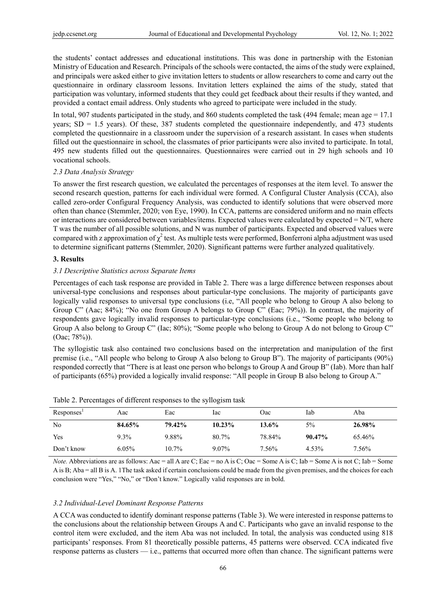the students' contact addresses and educational institutions. This was done in partnership with the Estonian Ministry of Education and Research. Principals of the schools were contacted, the aims of the study were explained, and principals were asked either to give invitation letters to students or allow researchers to come and carry out the questionnaire in ordinary classroom lessons. Invitation letters explained the aims of the study, stated that participation was voluntary, informed students that they could get feedback about their results if they wanted, and provided a contact email address. Only students who agreed to participate were included in the study.

In total, 907 students participated in the study, and 860 students completed the task (494 female; mean age = 17.1 years;  $SD = 1.5$  years). Of these, 387 students completed the questionnaire independently, and 473 students completed the questionnaire in a classroom under the supervision of a research assistant. In cases when students filled out the questionnaire in school, the classmates of prior participants were also invited to participate. In total, 495 new students filled out the questionnaires. Questionnaires were carried out in 29 high schools and 10 vocational schools.

## *2.3 Data Analysis Strategy*

To answer the first research question, we calculated the percentages of responses at the item level. To answer the second research question, patterns for each individual were formed. A Configural Cluster Analysis (CCA), also called zero-order Configural Frequency Analysis, was conducted to identify solutions that were observed more often than chance (Stemmler, 2020; von Eye, 1990). In CCA, patterns are considered uniform and no main effects or interactions are considered between variables/items. Expected values were calculated by expected  $=N/T$ , where T was the number of all possible solutions, and N was number of participants. Expected and observed values were compared with z approximation of  $\chi^2$  test. As multiple tests were performed, Bonferroni alpha adjustment was used to determine significant patterns (Stemmler, 2020). Significant patterns were further analyzed qualitatively.

## **3. Results**

## *3.1 Descriptive Statistics across Separate Items*

Percentages of each task response are provided in Table 2. There was a large difference between responses about universal-type conclusions and responses about particular-type conclusions. The majority of participants gave logically valid responses to universal type conclusions (i.e, "All people who belong to Group A also belong to Group C" (Aac; 84%); "No one from Group A belongs to Group C" (Eac; 79%)). In contrast, the majority of respondents gave logically invalid responses to particular-type conclusions (i.e., "Some people who belong to Group A also belong to Group C" (Iac; 80%); "Some people who belong to Group A do not belong to Group C" (Oac; 78%)).

The syllogistic task also contained two conclusions based on the interpretation and manipulation of the first premise (i.e., "All people who belong to Group A also belong to Group B"). The majority of participants (90%) responded correctly that "There is at least one person who belongs to Group A and Group B" (Iab). More than half of participants (65%) provided a logically invalid response: "All people in Group B also belong to Group A."

| Responses' | Aac     | Eac    | lac    | Oac      | Iab       | Aba    |
|------------|---------|--------|--------|----------|-----------|--------|
| No         | 84.65%  | 79.42% | 10.23% | $13.6\%$ | 5%        | 26.98% |
| Yes        | $9.3\%$ | 9.88%  | 80.7%  | 78.84%   | $90.47\%$ | 65.46% |
| Don't know | 6.05%   | 10.7%  | 9.07%  | 7.56%    | 4.53%     | 7.56%  |

Table 2. Percentages of different responses to the syllogism task

*Note.* Abbreviations are as follows: Aac = all A are C; Eac = no A is C; Oac = Some A is C; Iab = Some A is not C; Iab = Some A is B; Aba = all B is A. 1The task asked if certain conclusions could be made from the given premises, and the choices for each conclusion were "Yes," "No," or "Don't know." Logically valid responses are in bold.

#### *3.2 Individual-Level Dominant Response Patterns*

A CCA was conducted to identify dominant response patterns (Table 3). We were interested in response patterns to the conclusions about the relationship between Groups A and C. Participants who gave an invalid response to the control item were excluded, and the item Aba was not included. In total, the analysis was conducted using 818 participants' responses. From 81 theoretically possible patterns, 45 patterns were observed. CCA indicated five response patterns as clusters — i.e., patterns that occurred more often than chance. The significant patterns were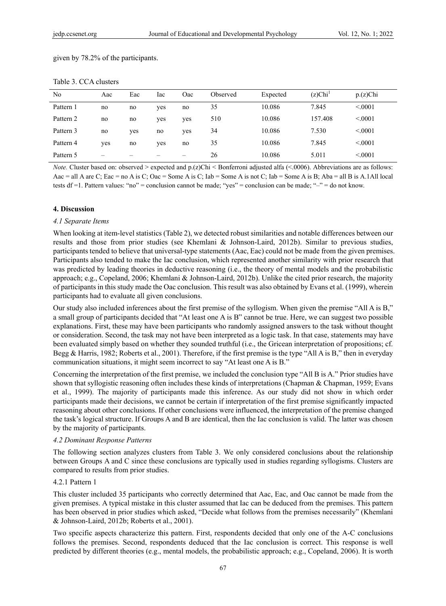## given by 78.2% of the participants.

| No        | Aac                      | Eac | Iac | Oac | Observed | Expected | $(z)$ Chi <sup>1</sup> | $p(z)$ Chi |
|-----------|--------------------------|-----|-----|-----|----------|----------|------------------------|------------|
| Pattern 1 | no                       | no  | yes | no  | 35       | 10.086   | 7.845                  | < 0.0001   |
| Pattern 2 | no                       | no  | yes | yes | 510      | 10.086   | 157.408                | < 0.001    |
| Pattern 3 | no                       | yes | no  | yes | 34       | 10.086   | 7.530                  | < 0.0001   |
| Pattern 4 | yes                      | no  | yes | no  | 35       | 10.086   | 7.845                  | < 0.001    |
| Pattern 5 | $\overline{\phantom{0}}$ | –   |     |     | 26       | 10.086   | 5.011                  | < 0.001    |

#### Table 3. CCA clusters

*Note.* Cluster based on: observed > expected and p.(z)Chi < Bonferroni adjusted alfa (<.0006). Abbreviations are as follows: Aac = all A are C; Eac = no A is C; Oac = Some A is C; Iab = Some A is not C; Iab = Some A is B; Aba = all B is A.1All local tests df =1. Pattern values: "no" = conclusion cannot be made; "yes" = conclusion can be made; "–" = do not know.

## **4. Discussion**

#### *4.1 Separate Items*

When looking at item-level statistics (Table 2), we detected robust similarities and notable differences between our results and those from prior studies (see Khemlani & Johnson-Laird, 2012b). Similar to previous studies, participants tended to believe that universal-type statements (Aac, Eac) could not be made from the given premises. Participants also tended to make the Iac conclusion, which represented another similarity with prior research that was predicted by leading theories in deductive reasoning (i.e., the theory of mental models and the probabilistic approach; e.g., Copeland, 2006; Khemlani & Johnson-Laird, 2012b). Unlike the cited prior research, the majority of participants in this study made the Oac conclusion. This result was also obtained by Evans et al. (1999), wherein participants had to evaluate all given conclusions.

Our study also included inferences about the first premise of the syllogism. When given the premise "All A is B," a small group of participants decided that "At least one A is B" cannot be true. Here, we can suggest two possible explanations. First, these may have been participants who randomly assigned answers to the task without thought or consideration. Second, the task may not have been interpreted as a logic task. In that case, statements may have been evaluated simply based on whether they sounded truthful (i.e., the Gricean interpretation of propositions; cf. Begg & Harris, 1982; Roberts et al., 2001). Therefore, if the first premise is the type "All A is B," then in everyday communication situations, it might seem incorrect to say "At least one A is B."

Concerning the interpretation of the first premise, we included the conclusion type "All B is A." Prior studies have shown that syllogistic reasoning often includes these kinds of interpretations (Chapman & Chapman, 1959; Evans et al., 1999). The majority of participants made this inference. As our study did not show in which order participants made their decisions, we cannot be certain if interpretation of the first premise significantly impacted reasoning about other conclusions. If other conclusions were influenced, the interpretation of the premise changed the task's logical structure. If Groups A and B are identical, then the Iac conclusion is valid. The latter was chosen by the majority of participants.

## *4.2 Dominant Response Patterns*

The following section analyzes clusters from Table 3. We only considered conclusions about the relationship between Groups A and C since these conclusions are typically used in studies regarding syllogisms. Clusters are compared to results from prior studies.

### 4.2.1 Pattern 1

This cluster included 35 participants who correctly determined that Aac, Eac, and Oac cannot be made from the given premises. A typical mistake in this cluster assumed that Iac can be deduced from the premises. This pattern has been observed in prior studies which asked, "Decide what follows from the premises necessarily" (Khemlani & Johnson-Laird, 2012b; Roberts et al., 2001).

Two specific aspects characterize this pattern. First, respondents decided that only one of the A-C conclusions follows the premises. Second, respondents deduced that the Iac conclusion is correct. This response is well predicted by different theories (e.g., mental models, the probabilistic approach; e.g., Copeland, 2006). It is worth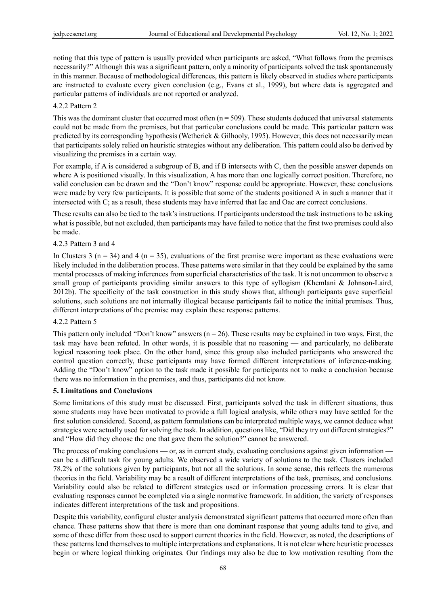noting that this type of pattern is usually provided when participants are asked, "What follows from the premises necessarily?" Although this was a significant pattern, only a minority of participants solved the task spontaneously in this manner. Because of methodological differences, this pattern is likely observed in studies where participants are instructed to evaluate every given conclusion (e.g., Evans et al., 1999), but where data is aggregated and particular patterns of individuals are not reported or analyzed.

### 4.2.2 Pattern 2

This was the dominant cluster that occurred most often  $(n = 509)$ . These students deduced that universal statements could not be made from the premises, but that particular conclusions could be made. This particular pattern was predicted by its corresponding hypothesis (Wetherick & Gilhooly, 1995). However, this does not necessarily mean that participants solely relied on heuristic strategies without any deliberation. This pattern could also be derived by visualizing the premises in a certain way.

For example, if A is considered a subgroup of B, and if B intersects with C, then the possible answer depends on where A is positioned visually. In this visualization, A has more than one logically correct position. Therefore, no valid conclusion can be drawn and the "Don't know" response could be appropriate. However, these conclusions were made by very few participants. It is possible that some of the students positioned A in such a manner that it intersected with C; as a result, these students may have inferred that Iac and Oac are correct conclusions.

These results can also be tied to the task's instructions. If participants understood the task instructions to be asking what is possible, but not excluded, then participants may have failed to notice that the first two premises could also be made.

#### 4.2.3 Pattern 3 and 4

In Clusters 3 ( $n = 34$ ) and 4 ( $n = 35$ ), evaluations of the first premise were important as these evaluations were likely included in the deliberation process. These patterns were similar in that they could be explained by the same mental processes of making inferences from superficial characteristics of the task. It is not uncommon to observe a small group of participants providing similar answers to this type of syllogism (Khemlani & Johnson-Laird, 2012b). The specificity of the task construction in this study shows that, although participants gave superficial solutions, such solutions are not internally illogical because participants fail to notice the initial premises. Thus, different interpretations of the premise may explain these response patterns.

#### 4.2.2 Pattern 5

This pattern only included "Don't know" answers ( $n = 26$ ). These results may be explained in two ways. First, the task may have been refuted. In other words, it is possible that no reasoning — and particularly, no deliberate logical reasoning took place. On the other hand, since this group also included participants who answered the control question correctly, these participants may have formed different interpretations of inference-making. Adding the "Don't know" option to the task made it possible for participants not to make a conclusion because there was no information in the premises, and thus, participants did not know.

#### **5. Limitations and Conclusions**

Some limitations of this study must be discussed. First, participants solved the task in different situations, thus some students may have been motivated to provide a full logical analysis, while others may have settled for the first solution considered. Second, as pattern formulations can be interpreted multiple ways, we cannot deduce what strategies were actually used for solving the task. In addition, questions like, "Did they try out different strategies?" and "How did they choose the one that gave them the solution?" cannot be answered.

The process of making conclusions — or, as in current study, evaluating conclusions against given information can be a difficult task for young adults. We observed a wide variety of solutions to the task. Clusters included 78.2% of the solutions given by participants, but not all the solutions. In some sense, this reflects the numerous theories in the field. Variability may be a result of different interpretations of the task, premises, and conclusions. Variability could also be related to different strategies used or information processing errors. It is clear that evaluating responses cannot be completed via a single normative framework. In addition, the variety of responses indicates different interpretations of the task and propositions.

Despite this variability, configural cluster analysis demonstrated significant patterns that occurred more often than chance. These patterns show that there is more than one dominant response that young adults tend to give, and some of these differ from those used to support current theories in the field. However, as noted, the descriptions of these patterns lend themselves to multiple interpretations and explanations. It is not clear where heuristic processes begin or where logical thinking originates. Our findings may also be due to low motivation resulting from the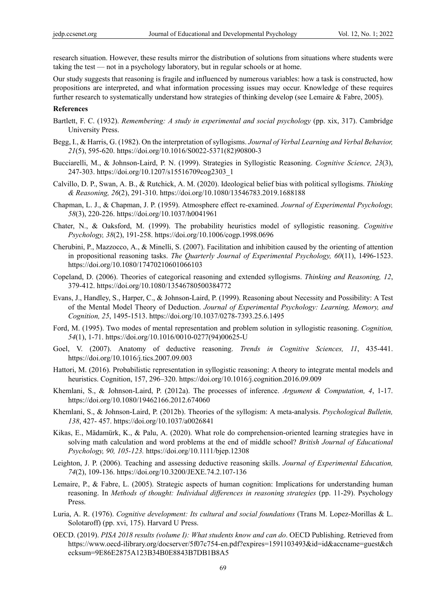research situation. However, these results mirror the distribution of solutions from situations where students were taking the test — not in a psychology laboratory, but in regular schools or at home.

Our study suggests that reasoning is fragile and influenced by numerous variables: how a task is constructed, how propositions are interpreted, and what information processing issues may occur. Knowledge of these requires further research to systematically understand how strategies of thinking develop (see Lemaire & Fabre, 2005).

## **References**

- Bartlett, F. C. (1932). *Remembering: A study in experimental and social psychology* (pp. xix, 317). Cambridge University Press.
- Begg, I., & Harris, G. (1982). On the interpretation of syllogisms. *Journal of Verbal Learning and Verbal Behavior, 21*(5), 595-620. https://doi.org/10.1016/S0022-5371(82)90800-3
- Bucciarelli, M., & Johnson‐Laird, P. N. (1999). Strategies in Syllogistic Reasoning. *Cognitive Science, 23*(3), 247-303. https://doi.org/10.1207/s15516709cog2303\_1
- Calvillo, D. P., Swan, A. B., & Rutchick, A. M. (2020). Ideological belief bias with political syllogisms. *Thinking & Reasoning, 26*(2), 291-310. https://doi.org/10.1080/13546783.2019.1688188
- Chapman, L. J., & Chapman, J. P. (1959). Atmosphere effect re-examined. *Journal of Experimental Psychology, 58*(3), 220-226. https://doi.org/10.1037/h0041961
- Chater, N., & Oaksford, M. (1999). The probability heuristics model of syllogistic reasoning. *Cognitive Psychology, 38*(2), 191-258. https://doi.org/10.1006/cogp.1998.0696
- Cherubini, P., Mazzocco, A., & Minelli, S. (2007). Facilitation and inhibition caused by the orienting of attention in propositional reasoning tasks. *The Quarterly Journal of Experimental Psychology, 60*(11), 1496-1523. https://doi.org/10.1080/17470210601066103
- Copeland, D. (2006). Theories of categorical reasoning and extended syllogisms. *Thinking and Reasoning, 12*, 379-412. https://doi.org/10.1080/13546780500384772
- Evans, J., Handley, S., Harper, C., & Johnson-Laird, P. (1999). Reasoning about Necessity and Possibility: A Test of the Mental Model Theory of Deduction. *Journal of Experimental Psychology: Learning, Memory, and Cognition, 25*, 1495-1513. https://doi.org/10.1037/0278-7393.25.6.1495
- Ford, M. (1995). Two modes of mental representation and problem solution in syllogistic reasoning. *Cognition, 54*(1), 1-71. https://doi.org/10.1016/0010-0277(94)00625-U
- Goel, V. (2007). Anatomy of deductive reasoning. *Trends in Cognitive Sciences, 11*, 435-441. https://doi.org/10.1016/j.tics.2007.09.003
- Hattori, M. (2016). Probabilistic representation in syllogistic reasoning: A theory to integrate mental models and heuristics. Cognition, 157, 296–320. https://doi.org/10.1016/j.cognition.2016.09.009
- Khemlani, S., & Johnson-Laird, P. (2012a). The processes of inference. *Argument & Computation, 4*, 1-17. https://doi.org/10.1080/19462166.2012.674060
- Khemlani, S., & Johnson-Laird, P. (2012b). Theories of the syllogism: A meta-analysis. *Psychological Bulletin, 138*, 427- 457. https://doi.org/10.1037/a0026841
- Kikas, E., Mädamürk, K., & Palu, A. (2020). What role do comprehension-oriented learning strategies have in solving math calculation and word problems at the end of middle school? *British Journal of Educational Psychology, 90, 105-123.* https://doi.org/10.1111/bjep.12308
- Leighton, J. P. (2006). Teaching and assessing deductive reasoning skills. *Journal of Experimental Education, 74*(2), 109-136. https://doi.org/10.3200/JEXE.74.2.107-136
- Lemaire, P., & Fabre, L. (2005). Strategic aspects of human cognition: Implications for understanding human reasoning. In *Methods of thought: Individual differences in reasoning strategies* (pp. 11-29). Psychology Press.
- Luria, A. R. (1976). *Cognitive development: Its cultural and social foundations* (Trans M. Lopez-Morillas & L. Solotaroff) (pp. xvi, 175). Harvard U Press.
- OECD. (2019). *PISA 2018 results (volume I): What students know and can do*. OECD Publishing. Retrieved from https://www.oecd-ilibrary.org/docserver/5f07c754-en.pdf?expires=1591103493&id=id&accname=guest&ch ecksum=9E86E2875A123B34B0E8843B7DB1B8A5